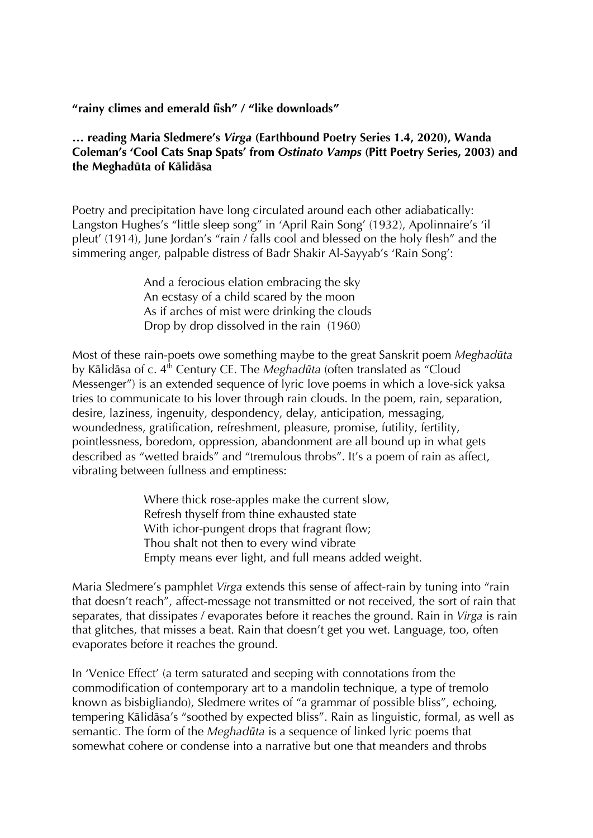## **"rainy climes and emerald fish" / "like downloads"**

## **… reading Maria Sledmere's** *Virga* **(Earthbound Poetry Series 1.4, 2020), Wanda Coleman's 'Cool Cats Snap Spats' from** *Ostinato Vamps* **(Pitt Poetry Series, 2003) and the Meghadūta of Kālidāsa**

Poetry and precipitation have long circulated around each other adiabatically: Langston Hughes's "little sleep song" in 'April Rain Song' (1932), Apolinnaire's 'il pleut' (1914), June Jordan's "rain / falls cool and blessed on the holy flesh" and the simmering anger, palpable distress of Badr Shakir Al-Sayyab's 'Rain Song':

> And a ferocious elation embracing the sky An ecstasy of a child scared by the moon As if arches of mist were drinking the clouds Drop by drop dissolved in the rain (1960)

Most of these rain-poets owe something maybe to the great Sanskrit poem *Meghadūta* by Kālidāsa of c. 4<sup>th</sup> Century CE. The *Meghadūta* (often translated as "Cloud Messenger") is an extended sequence of lyric love poems in which a love-sick yaksa tries to communicate to his lover through rain clouds. In the poem, rain, separation, desire, laziness, ingenuity, despondency, delay, anticipation, messaging, woundedness, gratification, refreshment, pleasure, promise, futility, fertility, pointlessness, boredom, oppression, abandonment are all bound up in what gets described as "wetted braids" and "tremulous throbs". It's a poem of rain as affect, vibrating between fullness and emptiness:

> Where thick rose-apples make the current slow, Refresh thyself from thine exhausted state With ichor-pungent drops that fragrant flow; Thou shalt not then to every wind vibrate Empty means ever light, and full means added weight.

Maria Sledmere's pamphlet *Virga* extends this sense of affect-rain by tuning into "rain that doesn't reach", affect-message not transmitted or not received, the sort of rain that separates, that dissipates / evaporates before it reaches the ground. Rain in *Virga* is rain that glitches, that misses a beat. Rain that doesn't get you wet. Language, too, often evaporates before it reaches the ground.

In 'Venice Effect' (a term saturated and seeping with connotations from the commodification of contemporary art to a mandolin technique, a type of tremolo known as bisbigliando), Sledmere writes of "a grammar of possible bliss", echoing, tempering Kālidāsa's "soothed by expected bliss". Rain as linguistic, formal, as well as semantic. The form of the *Meghadūta* is a sequence of linked lyric poems that somewhat cohere or condense into a narrative but one that meanders and throbs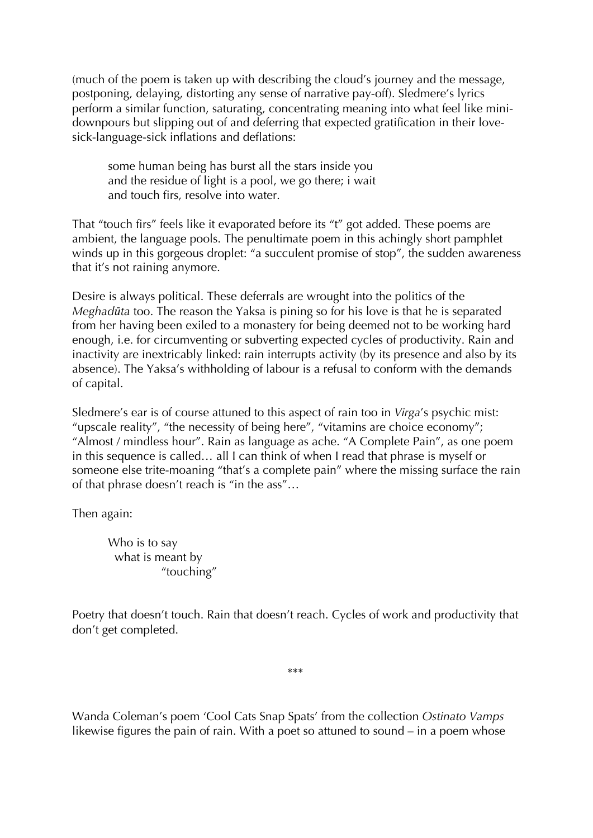(much of the poem is taken up with describing the cloud's journey and the message, postponing, delaying, distorting any sense of narrative pay-off). Sledmere's lyrics perform a similar function, saturating, concentrating meaning into what feel like minidownpours but slipping out of and deferring that expected gratification in their lovesick-language-sick inflations and deflations:

some human being has burst all the stars inside you and the residue of light is a pool, we go there; i wait and touch firs, resolve into water.

That "touch firs" feels like it evaporated before its "t" got added. These poems are ambient, the language pools. The penultimate poem in this achingly short pamphlet winds up in this gorgeous droplet: "a succulent promise of stop", the sudden awareness that it's not raining anymore.

Desire is always political. These deferrals are wrought into the politics of the *Meghadūta* too. The reason the Yaksa is pining so for his love is that he is separated from her having been exiled to a monastery for being deemed not to be working hard enough, i.e. for circumventing or subverting expected cycles of productivity. Rain and inactivity are inextricably linked: rain interrupts activity (by its presence and also by its absence). The Yaksa's withholding of labour is a refusal to conform with the demands of capital.

Sledmere's ear is of course attuned to this aspect of rain too in *Virga*'s psychic mist: "upscale reality", "the necessity of being here", "vitamins are choice economy"; "Almost / mindless hour". Rain as language as ache. "A Complete Pain", as one poem in this sequence is called… all I can think of when I read that phrase is myself or someone else trite-moaning "that's a complete pain" where the missing surface the rain of that phrase doesn't reach is "in the ass"…

Then again:

Who is to say what is meant by "touching"

Poetry that doesn't touch. Rain that doesn't reach. Cycles of work and productivity that don't get completed.

\*\*\*

Wanda Coleman's poem 'Cool Cats Snap Spats' from the collection *Ostinato Vamps* likewise figures the pain of rain. With a poet so attuned to sound – in a poem whose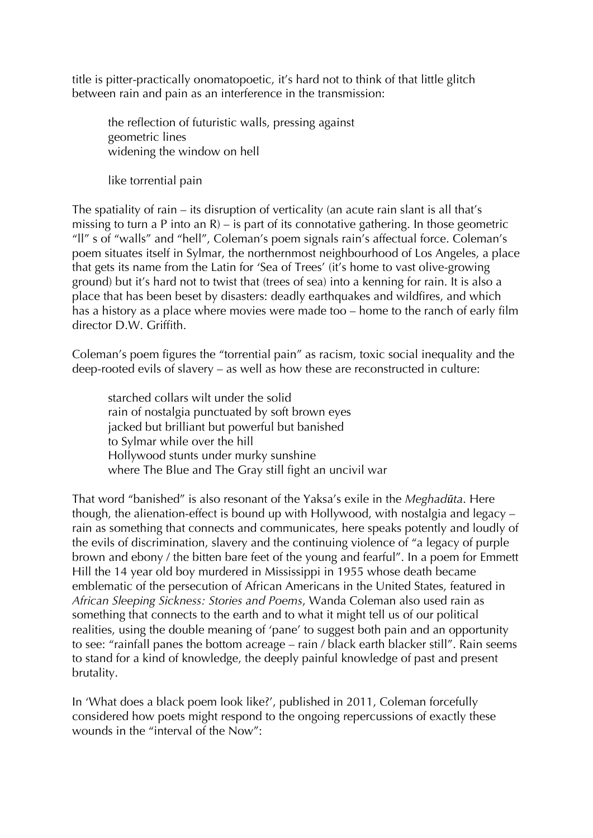title is pitter-practically onomatopoetic, it's hard not to think of that little glitch between rain and pain as an interference in the transmission:

the reflection of futuristic walls, pressing against geometric lines widening the window on hell

like torrential pain

The spatiality of rain – its disruption of verticality (an acute rain slant is all that's missing to turn a P into an  $R$ ) – is part of its connotative gathering. In those geometric "ll" s of "walls" and "hell", Coleman's poem signals rain's affectual force. Coleman's poem situates itself in Sylmar, the northernmost neighbourhood of Los Angeles, a place that gets its name from the Latin for 'Sea of Trees' (it's home to vast olive-growing ground) but it's hard not to twist that (trees of sea) into a kenning for rain. It is also a place that has been beset by disasters: deadly earthquakes and wildfires, and which has a history as a place where movies were made too – home to the ranch of early film director D.W. Griffith.

Coleman's poem figures the "torrential pain" as racism, toxic social inequality and the deep-rooted evils of slavery – as well as how these are reconstructed in culture:

starched collars wilt under the solid rain of nostalgia punctuated by soft brown eyes jacked but brilliant but powerful but banished to Sylmar while over the hill Hollywood stunts under murky sunshine where The Blue and The Gray still fight an uncivil war

That word "banished" is also resonant of the Yaksa's exile in the *Meghadūta*. Here though, the alienation-effect is bound up with Hollywood, with nostalgia and legacy – rain as something that connects and communicates, here speaks potently and loudly of the evils of discrimination, slavery and the continuing violence of "a legacy of purple brown and ebony / the bitten bare feet of the young and fearful". In a poem for Emmett Hill the 14 year old boy murdered in Mississippi in 1955 whose death became emblematic of the persecution of African Americans in the United States, featured in *African Sleeping Sickness: Stories and Poems*, Wanda Coleman also used rain as something that connects to the earth and to what it might tell us of our political realities, using the double meaning of 'pane' to suggest both pain and an opportunity to see: "rainfall panes the bottom acreage – rain / black earth blacker still". Rain seems to stand for a kind of knowledge, the deeply painful knowledge of past and present brutality.

In 'What does a black poem look like?', published in 2011, Coleman forcefully considered how poets might respond to the ongoing repercussions of exactly these wounds in the "interval of the Now":